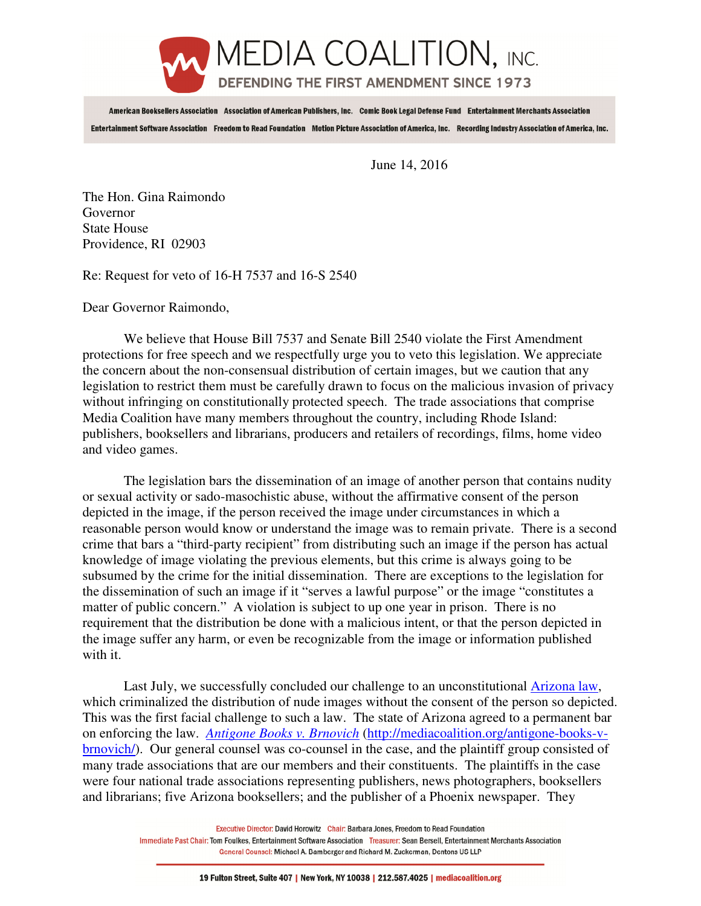

American Booksellers Association Association of American Publishers, Inc. Comic Book Legal Defense Fund Entertainment Merchants Association Entertainment Software Association Freedom to Read Foundation Motion Picture Association of America, Inc. Recording Industry Association of America, Inc.

June 14, 2016

The Hon. Gina Raimondo Governor State House Providence, RI 02903

Re: Request for veto of 16-H 7537 and 16-S 2540

Dear Governor Raimondo,

 We believe that House Bill 7537 and Senate Bill 2540 violate the First Amendment protections for free speech and we respectfully urge you to veto this legislation. We appreciate the concern about the non-consensual distribution of certain images, but we caution that any legislation to restrict them must be carefully drawn to focus on the malicious invasion of privacy without infringing on constitutionally protected speech. The trade associations that comprise Media Coalition have many members throughout the country, including Rhode Island: publishers, booksellers and librarians, producers and retailers of recordings, films, home video and video games.

 The legislation bars the dissemination of an image of another person that contains nudity or sexual activity or sado-masochistic abuse, without the affirmative consent of the person depicted in the image, if the person received the image under circumstances in which a reasonable person would know or understand the image was to remain private. There is a second crime that bars a "third-party recipient" from distributing such an image if the person has actual knowledge of image violating the previous elements, but this crime is always going to be subsumed by the crime for the initial dissemination. There are exceptions to the legislation for the dissemination of such an image if it "serves a lawful purpose" or the image "constitutes a matter of public concern." A violation is subject to up one year in prison. There is no requirement that the distribution be done with a malicious intent, or that the person depicted in the image suffer any harm, or even be recognizable from the image or information published with it.

 Last July, we successfully concluded our challenge to an unconstitutional Arizona law, which criminalized the distribution of nude images without the consent of the person so depicted. This was the first facial challenge to such a law. The state of Arizona agreed to a permanent bar on enforcing the law. *Antigone Books v. Brnovich* (http://mediacoalition.org/antigone-books-vbrnovich/). Our general counsel was co-counsel in the case, and the plaintiff group consisted of many trade associations that are our members and their constituents. The plaintiffs in the case were four national trade associations representing publishers, news photographers, booksellers and librarians; five Arizona booksellers; and the publisher of a Phoenix newspaper. They

> Executive Director: David Horowitz Chair: Barbara Jones, Freedom to Read Foundation Immediate Past Chair: Tom Foulkes, Entertainment Software Association Treasurer: Sean Bersell, Entertainment Merchants Association General Counsel: Michael A. Bamberger and Richard M. Zuckerman, Dentons US LLP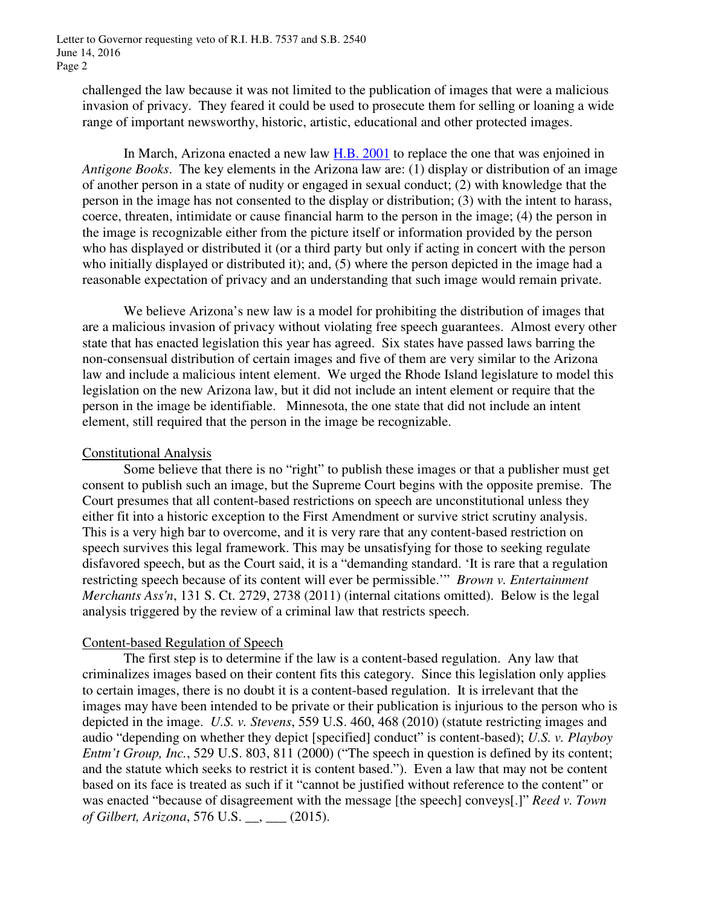challenged the law because it was not limited to the publication of images that were a malicious invasion of privacy. They feared it could be used to prosecute them for selling or loaning a wide range of important newsworthy, historic, artistic, educational and other protected images.

In March, Arizona enacted a new law H.B. 2001 to replace the one that was enjoined in *Antigone Books*. The key elements in the Arizona law are: (1) display or distribution of an image of another person in a state of nudity or engaged in sexual conduct; (2) with knowledge that the person in the image has not consented to the display or distribution; (3) with the intent to harass, coerce, threaten, intimidate or cause financial harm to the person in the image; (4) the person in the image is recognizable either from the picture itself or information provided by the person who has displayed or distributed it (or a third party but only if acting in concert with the person who initially displayed or distributed it); and, (5) where the person depicted in the image had a reasonable expectation of privacy and an understanding that such image would remain private.

We believe Arizona's new law is a model for prohibiting the distribution of images that are a malicious invasion of privacy without violating free speech guarantees. Almost every other state that has enacted legislation this year has agreed. Six states have passed laws barring the non-consensual distribution of certain images and five of them are very similar to the Arizona law and include a malicious intent element. We urged the Rhode Island legislature to model this legislation on the new Arizona law, but it did not include an intent element or require that the person in the image be identifiable. Minnesota, the one state that did not include an intent element, still required that the person in the image be recognizable.

# Constitutional Analysis

Some believe that there is no "right" to publish these images or that a publisher must get consent to publish such an image, but the Supreme Court begins with the opposite premise. The Court presumes that all content-based restrictions on speech are unconstitutional unless they either fit into a historic exception to the First Amendment or survive strict scrutiny analysis. This is a very high bar to overcome, and it is very rare that any content-based restriction on speech survives this legal framework. This may be unsatisfying for those to seeking regulate disfavored speech, but as the Court said, it is a "demanding standard. 'It is rare that a regulation restricting speech because of its content will ever be permissible.'" *Brown v. Entertainment Merchants Ass'n*, 131 S. Ct. 2729, 2738 (2011) (internal citations omitted). Below is the legal analysis triggered by the review of a criminal law that restricts speech.

# Content-based Regulation of Speech

The first step is to determine if the law is a content-based regulation. Any law that criminalizes images based on their content fits this category. Since this legislation only applies to certain images, there is no doubt it is a content-based regulation. It is irrelevant that the images may have been intended to be private or their publication is injurious to the person who is depicted in the image. *U.S. v. Stevens*, 559 U.S. 460, 468 (2010) (statute restricting images and audio "depending on whether they depict [specified] conduct" is content-based); *U.S. v. Playboy Entm't Group, Inc.*, 529 U.S. 803, 811 (2000) ("The speech in question is defined by its content; and the statute which seeks to restrict it is content based."). Even a law that may not be content based on its face is treated as such if it "cannot be justified without reference to the content" or was enacted "because of disagreement with the message [the speech] conveys[.]" *Reed v. Town of Gilbert, Arizona*, 576 U.S. \_\_, \_\_\_ (2015).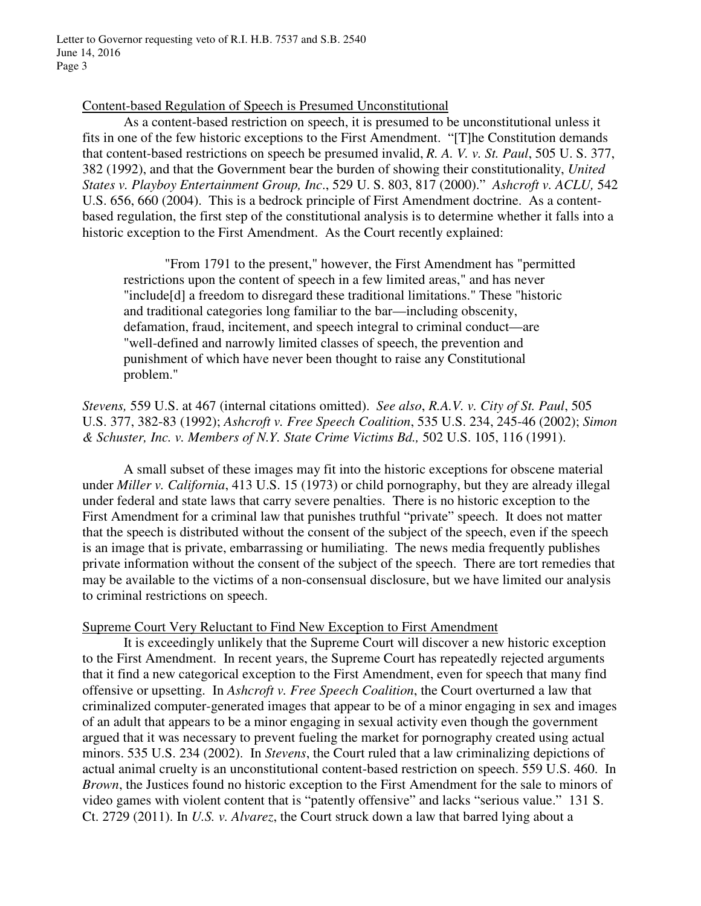# Content-based Regulation of Speech is Presumed Unconstitutional

As a content-based restriction on speech, it is presumed to be unconstitutional unless it fits in one of the few historic exceptions to the First Amendment. "[T]he Constitution demands that content-based restrictions on speech be presumed invalid, *R. A. V. v. St. Paul*, 505 U. S. 377, 382 (1992), and that the Government bear the burden of showing their constitutionality, *United States v. Playboy Entertainment Group, Inc*., 529 U. S. 803, 817 (2000)." *Ashcroft v. ACLU,* 542 U.S. 656, 660 (2004). This is a bedrock principle of First Amendment doctrine. As a contentbased regulation, the first step of the constitutional analysis is to determine whether it falls into a historic exception to the First Amendment. As the Court recently explained:

"From 1791 to the present," however, the First Amendment has "permitted restrictions upon the content of speech in a few limited areas," and has never "include[d] a freedom to disregard these traditional limitations." These "historic and traditional categories long familiar to the bar—including obscenity, defamation, fraud, incitement, and speech integral to criminal conduct—are "well-defined and narrowly limited classes of speech, the prevention and punishment of which have never been thought to raise any Constitutional problem."

*Stevens,* 559 U.S. at 467 (internal citations omitted). *See also*, *R.A.V. v. City of St. Paul*, 505 U.S. 377, 382-83 (1992); *Ashcroft v. Free Speech Coalition*, 535 U.S. 234, 245-46 (2002); *Simon & Schuster, Inc. v. Members of N.Y. State Crime Victims Bd.,* 502 U.S. 105, 116 (1991).

 A small subset of these images may fit into the historic exceptions for obscene material under *Miller v. California*, 413 U.S. 15 (1973) or child pornography, but they are already illegal under federal and state laws that carry severe penalties. There is no historic exception to the First Amendment for a criminal law that punishes truthful "private" speech. It does not matter that the speech is distributed without the consent of the subject of the speech, even if the speech is an image that is private, embarrassing or humiliating. The news media frequently publishes private information without the consent of the subject of the speech. There are tort remedies that may be available to the victims of a non-consensual disclosure, but we have limited our analysis to criminal restrictions on speech.

# Supreme Court Very Reluctant to Find New Exception to First Amendment

 It is exceedingly unlikely that the Supreme Court will discover a new historic exception to the First Amendment. In recent years, the Supreme Court has repeatedly rejected arguments that it find a new categorical exception to the First Amendment, even for speech that many find offensive or upsetting. In *Ashcroft v. Free Speech Coalition*, the Court overturned a law that criminalized computer-generated images that appear to be of a minor engaging in sex and images of an adult that appears to be a minor engaging in sexual activity even though the government argued that it was necessary to prevent fueling the market for pornography created using actual minors. 535 U.S. 234 (2002). In *Stevens*, the Court ruled that a law criminalizing depictions of actual animal cruelty is an unconstitutional content-based restriction on speech. 559 U.S. 460. In *Brown*, the Justices found no historic exception to the First Amendment for the sale to minors of video games with violent content that is "patently offensive" and lacks "serious value." 131 S. Ct. 2729 (2011). In *U.S. v. Alvarez*, the Court struck down a law that barred lying about a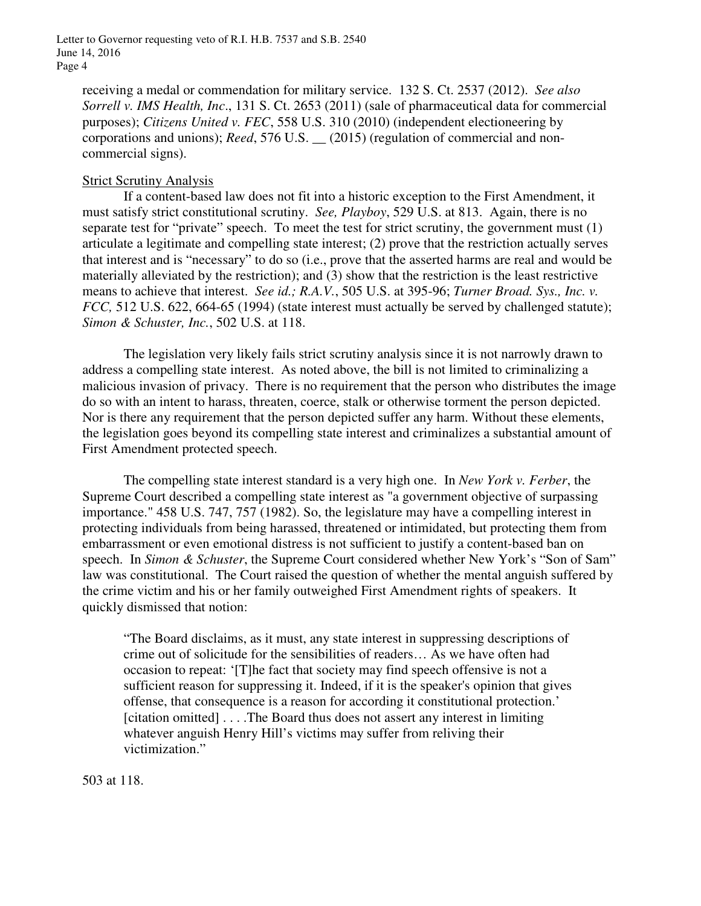Letter to Governor requesting veto of R.I. H.B. 7537 and S.B. 2540 June 14, 2016 Page 4

receiving a medal or commendation for military service. 132 S. Ct. 2537 (2012). *See also Sorrell v. IMS Health, Inc*., 131 S. Ct. 2653 (2011) (sale of pharmaceutical data for commercial purposes); *Citizens United v. FEC*, 558 U.S. 310 (2010) (independent electioneering by corporations and unions); *Reed*, 576 U.S. \_\_ (2015) (regulation of commercial and noncommercial signs).

### Strict Scrutiny Analysis

If a content-based law does not fit into a historic exception to the First Amendment, it must satisfy strict constitutional scrutiny. *See, Playboy*, 529 U.S. at 813. Again, there is no separate test for "private" speech. To meet the test for strict scrutiny, the government must (1) articulate a legitimate and compelling state interest; (2) prove that the restriction actually serves that interest and is "necessary" to do so (i.e., prove that the asserted harms are real and would be materially alleviated by the restriction); and (3) show that the restriction is the least restrictive means to achieve that interest. *See id.; R.A.V.*, 505 U.S. at 395-96; *Turner Broad. Sys., Inc. v. FCC,* 512 U.S. 622, 664-65 (1994) (state interest must actually be served by challenged statute); *Simon & Schuster, Inc.*, 502 U.S. at 118.

The legislation very likely fails strict scrutiny analysis since it is not narrowly drawn to address a compelling state interest. As noted above, the bill is not limited to criminalizing a malicious invasion of privacy. There is no requirement that the person who distributes the image do so with an intent to harass, threaten, coerce, stalk or otherwise torment the person depicted. Nor is there any requirement that the person depicted suffer any harm. Without these elements, the legislation goes beyond its compelling state interest and criminalizes a substantial amount of First Amendment protected speech.

The compelling state interest standard is a very high one. In *New York v. Ferber*, the Supreme Court described a compelling state interest as "a government objective of surpassing importance." 458 U.S. 747, 757 (1982). So, the legislature may have a compelling interest in protecting individuals from being harassed, threatened or intimidated, but protecting them from embarrassment or even emotional distress is not sufficient to justify a content-based ban on speech. In *Simon & Schuster*, the Supreme Court considered whether New York's "Son of Sam" law was constitutional. The Court raised the question of whether the mental anguish suffered by the crime victim and his or her family outweighed First Amendment rights of speakers. It quickly dismissed that notion:

"The Board disclaims, as it must, any state interest in suppressing descriptions of crime out of solicitude for the sensibilities of readers… As we have often had occasion to repeat: '[T]he fact that society may find speech offensive is not a sufficient reason for suppressing it. Indeed, if it is the speaker's opinion that gives offense, that consequence is a reason for according it constitutional protection.' [citation omitted] . . . .The Board thus does not assert any interest in limiting whatever anguish Henry Hill's victims may suffer from reliving their victimization."

503 at 118.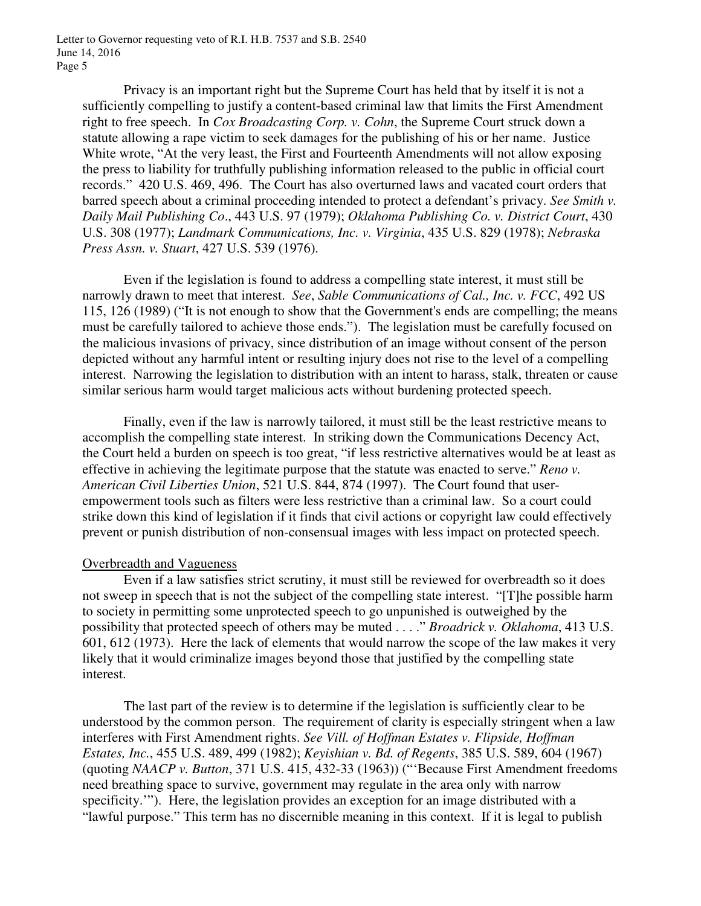Letter to Governor requesting veto of R.I. H.B. 7537 and S.B. 2540 June 14, 2016 Page 5

 Privacy is an important right but the Supreme Court has held that by itself it is not a sufficiently compelling to justify a content-based criminal law that limits the First Amendment right to free speech. In *Cox Broadcasting Corp. v. Cohn*, the Supreme Court struck down a statute allowing a rape victim to seek damages for the publishing of his or her name. Justice White wrote, "At the very least, the First and Fourteenth Amendments will not allow exposing the press to liability for truthfully publishing information released to the public in official court records." 420 U.S. 469, 496. The Court has also overturned laws and vacated court orders that barred speech about a criminal proceeding intended to protect a defendant's privacy. *See Smith v. Daily Mail Publishing Co*., 443 U.S. 97 (1979); *Oklahoma Publishing Co. v. District Court*, 430 U.S. 308 (1977); *Landmark Communications, Inc. v. Virginia*, 435 U.S. 829 (1978); *Nebraska Press Assn. v. Stuart*, 427 U.S. 539 (1976).

 Even if the legislation is found to address a compelling state interest, it must still be narrowly drawn to meet that interest. *See*, *Sable Communications of Cal., Inc. v. FCC*, 492 US 115, 126 (1989) ("It is not enough to show that the Government's ends are compelling; the means must be carefully tailored to achieve those ends."). The legislation must be carefully focused on the malicious invasions of privacy, since distribution of an image without consent of the person depicted without any harmful intent or resulting injury does not rise to the level of a compelling interest. Narrowing the legislation to distribution with an intent to harass, stalk, threaten or cause similar serious harm would target malicious acts without burdening protected speech.

Finally, even if the law is narrowly tailored, it must still be the least restrictive means to accomplish the compelling state interest. In striking down the Communications Decency Act, the Court held a burden on speech is too great, "if less restrictive alternatives would be at least as effective in achieving the legitimate purpose that the statute was enacted to serve." *Reno v. American Civil Liberties Union*, 521 U.S. 844, 874 (1997). The Court found that userempowerment tools such as filters were less restrictive than a criminal law. So a court could strike down this kind of legislation if it finds that civil actions or copyright law could effectively prevent or punish distribution of non-consensual images with less impact on protected speech.

### Overbreadth and Vagueness

Even if a law satisfies strict scrutiny, it must still be reviewed for overbreadth so it does not sweep in speech that is not the subject of the compelling state interest. "[T]he possible harm to society in permitting some unprotected speech to go unpunished is outweighed by the possibility that protected speech of others may be muted . . . ." *Broadrick v. Oklahoma*, 413 U.S. 601, 612 (1973). Here the lack of elements that would narrow the scope of the law makes it very likely that it would criminalize images beyond those that justified by the compelling state interest.

The last part of the review is to determine if the legislation is sufficiently clear to be understood by the common person. The requirement of clarity is especially stringent when a law interferes with First Amendment rights. *See Vill. of Hoffman Estates v. Flipside, Hoffman Estates, Inc.*, 455 U.S. 489, 499 (1982); *Keyishian v. Bd. of Regents*, 385 U.S. 589, 604 (1967) (quoting *NAACP v. Button*, 371 U.S. 415, 432-33 (1963)) ("'Because First Amendment freedoms need breathing space to survive, government may regulate in the area only with narrow specificity.'"). Here, the legislation provides an exception for an image distributed with a "lawful purpose." This term has no discernible meaning in this context. If it is legal to publish